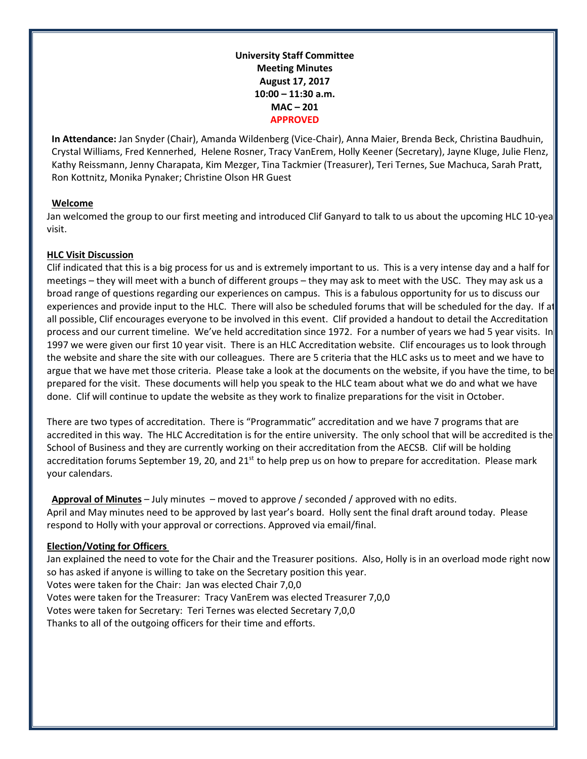**University Staff Committee Meeting Minutes August 17, 2017 10:00 – 11:30 a.m. MAC – 201 APPROVED**

**In Attendance:** Jan Snyder (Chair), Amanda Wildenberg (Vice-Chair), Anna Maier, Brenda Beck, Christina Baudhuin, Crystal Williams, Fred Kennerhed, Helene Rosner, Tracy VanErem, Holly Keener (Secretary), Jayne Kluge, Julie Flenz, Kathy Reissmann, Jenny Charapata, Kim Mezger, Tina Tackmier (Treasurer), Teri Ternes, Sue Machuca, Sarah Pratt, Ron Kottnitz, Monika Pynaker; Christine Olson HR Guest

### **Welcome**

Jan welcomed the group to our first meeting and introduced Clif Ganyard to talk to us about the upcoming HLC 10-yea visit.

## **HLC Visit Discussion**

Clif indicated that this is a big process for us and is extremely important to us. This is a very intense day and a half for meetings – they will meet with a bunch of different groups – they may ask to meet with the USC. They may ask us a broad range of questions regarding our experiences on campus. This is a fabulous opportunity for us to discuss our experiences and provide input to the HLC. There will also be scheduled forums that will be scheduled for the day. If at all possible, Clif encourages everyone to be involved in this event. Clif provided a handout to detail the Accreditation process and our current timeline. We've held accreditation since 1972. For a number of years we had 5 year visits. In 1997 we were given our first 10 year visit. There is an HLC Accreditation website. Clif encourages us to look through the website and share the site with our colleagues. There are 5 criteria that the HLC asks us to meet and we have to argue that we have met those criteria. Please take a look at the documents on the website, if you have the time, to be prepared for the visit. These documents will help you speak to the HLC team about what we do and what we have done. Clif will continue to update the website as they work to finalize preparations for the visit in October.

There are two types of accreditation. There is "Programmatic" accreditation and we have 7 programs that are accredited in this way. The HLC Accreditation is for the entire university. The only school that will be accredited is the School of Business and they are currently working on their accreditation from the AECSB. Clif will be holding accreditation forums September 19, 20, and  $21<sup>st</sup>$  to help prep us on how to prepare for accreditation. Please mark your calendars.

**Approval of Minutes** – July minutes – moved to approve / seconded / approved with no edits. April and May minutes need to be approved by last year's board. Holly sent the final draft around today. Please respond to Holly with your approval or corrections. Approved via email/final.

### **Election/Voting for Officers**

Jan explained the need to vote for the Chair and the Treasurer positions. Also, Holly is in an overload mode right now so has asked if anyone is willing to take on the Secretary position this year. Votes were taken for the Chair: Jan was elected Chair 7,0,0 Votes were taken for the Treasurer: Tracy VanErem was elected Treasurer 7,0,0 Votes were taken for Secretary: Teri Ternes was elected Secretary 7,0,0 Thanks to all of the outgoing officers for their time and efforts.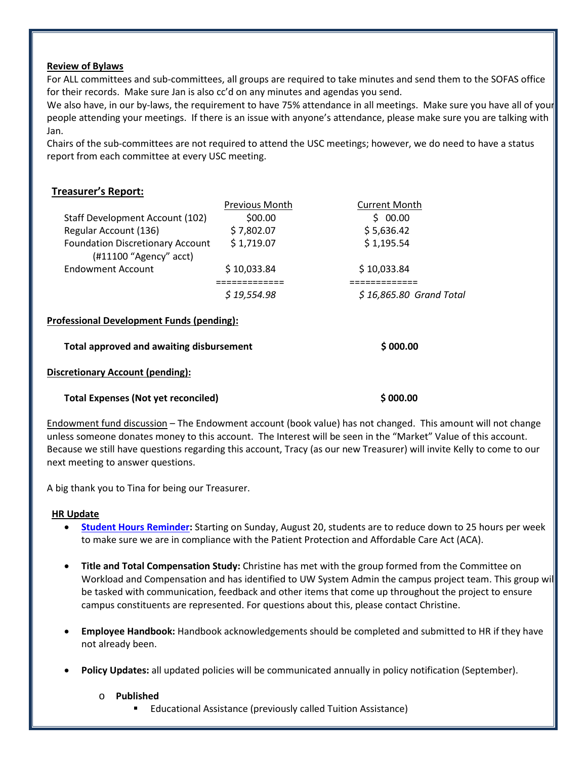### **Review of Bylaws**

For ALL committees and sub-committees, all groups are required to take minutes and send them to the SOFAS office for their records. Make sure Jan is also cc'd on any minutes and agendas you send.

We also have, in our by-laws, the requirement to have 75% attendance in all meetings. Make sure you have all of your people attending your meetings. If there is an issue with anyone's attendance, please make sure you are talking with Jan.

Chairs of the sub-committees are not required to attend the USC meetings; however, we do need to have a status report from each committee at every USC meeting.

# **Treasurer's Report:**

|                                                                     | <b>Previous Month</b> | <b>Current Month</b>     |
|---------------------------------------------------------------------|-----------------------|--------------------------|
| Staff Development Account (102)                                     | \$00.00               | \$00.00                  |
| Regular Account (136)                                               | \$7,802.07            | \$5,636.42               |
| <b>Foundation Discretionary Account</b><br>$(H11100$ "Agency" acct) | \$1,719.07            | \$1,195.54               |
| Endowment Account                                                   | \$10,033.84           | \$10,033.84              |
|                                                                     | ==========            |                          |
|                                                                     | \$19,554.98           | $$16,865.80$ Grand Total |
| Professional Development Funds (pending):                           |                       |                          |
| <b>Total approved and awaiting disbursement</b>                     |                       | \$000.00                 |
|                                                                     |                       |                          |

## **Discretionary Account (pending):**

### **Total Expenses (Not yet reconciled) \$ 000.00**

Endowment fund discussion – The Endowment account (book value) has not changed. This amount will not change unless someone donates money to this account. The Interest will be seen in the "Market" Value of this account. Because we still have questions regarding this account, Tracy (as our new Treasurer) will invite Kelly to come to our next meeting to answer questions.

A big thank you to Tina for being our Treasurer.

# **HR Update**

- **[Student Hours Reminder:](https://blog.uwgb.edu/hr/2017/08/student-employee-hours-limit-returns-to-25-hours-per-week-on-august-20th/)** Starting on Sunday, August 20, students are to reduce down to 25 hours per week to make sure we are in compliance with the Patient Protection and Affordable Care Act (ACA).
- **Title and Total Compensation Study:** Christine has met with the group formed from the Committee on Workload and Compensation and has identified to UW System Admin the campus project team. This group will be tasked with communication, feedback and other items that come up throughout the project to ensure campus constituents are represented. For questions about this, please contact Christine.
- **Employee Handbook:** Handbook acknowledgements should be completed and submitted to HR if they have not already been.
- **Policy Updates:** all updated policies will be communicated annually in policy notification (September).
	- o **Published**
		- Educational Assistance (previously called Tuition Assistance)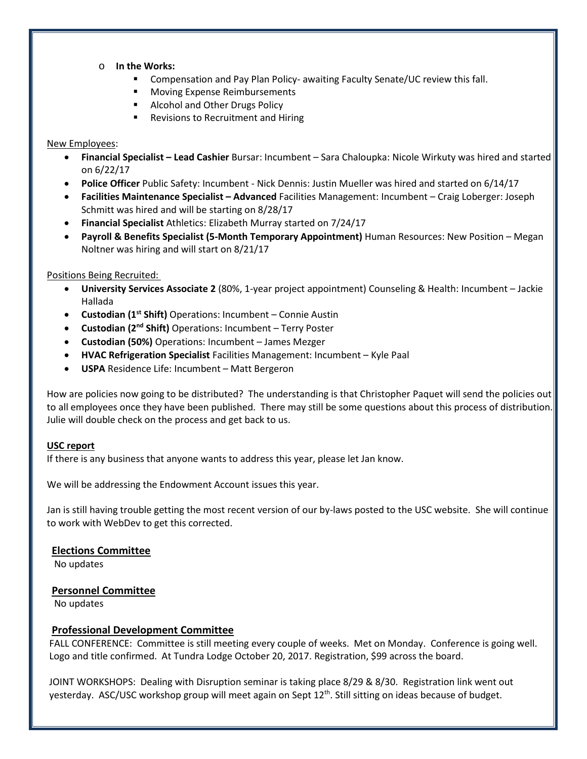- o **In the Works:**
	- **E** Compensation and Pay Plan Policy- awaiting Faculty Senate/UC review this fall.
	- **Moving Expense Reimbursements**
	- **Alcohol and Other Drugs Policy**
	- **Revisions to Recruitment and Hiring**

#### New Employees:

- **Financial Specialist – Lead Cashier** Bursar: Incumbent Sara Chaloupka: Nicole Wirkuty was hired and started on 6/22/17
- **Police Officer** Public Safety: Incumbent Nick Dennis: Justin Mueller was hired and started on 6/14/17
- **Facilities Maintenance Specialist – Advanced** Facilities Management: Incumbent Craig Loberger: Joseph Schmitt was hired and will be starting on 8/28/17
- **Financial Specialist** Athletics: Elizabeth Murray started on 7/24/17
- **Payroll & Benefits Specialist (5-Month Temporary Appointment)** Human Resources: New Position Megan Noltner was hiring and will start on 8/21/17

### Positions Being Recruited:

- **University Services Associate 2** (80%, 1-year project appointment) Counseling & Health: Incumbent Jackie Hallada
- **Custodian (1st Shift)** Operations: Incumbent Connie Austin
- **Custodian (2nd Shift)** Operations: Incumbent Terry Poster
- **Custodian (50%)** Operations: Incumbent James Mezger
- **HVAC Refrigeration Specialist** Facilities Management: Incumbent Kyle Paal
- **USPA** Residence Life: Incumbent Matt Bergeron

How are policies now going to be distributed? The understanding is that Christopher Paquet will send the policies out to all employees once they have been published. There may still be some questions about this process of distribution. Julie will double check on the process and get back to us.

### **USC report**

If there is any business that anyone wants to address this year, please let Jan know.

We will be addressing the Endowment Account issues this year.

Jan is still having trouble getting the most recent version of our by-laws posted to the USC website. She will continue to work with WebDev to get this corrected.

### **Elections Committee**

No updates

### **Personnel Committee**

No updates

### **Professional Development Committee**

FALL CONFERENCE: Committee is still meeting every couple of weeks. Met on Monday. Conference is going well. Logo and title confirmed. At Tundra Lodge October 20, 2017. Registration, \$99 across the board.

JOINT WORKSHOPS: Dealing with Disruption seminar is taking place 8/29 & 8/30. Registration link went out yesterday. ASC/USC workshop group will meet again on Sept 12<sup>th</sup>. Still sitting on ideas because of budget.